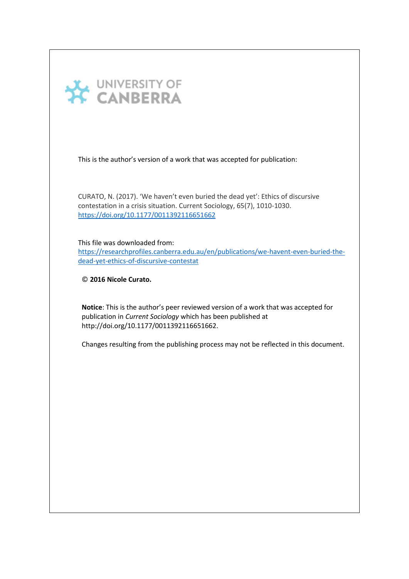

This is the author's version of a work that was accepted for publication:

CURATO, N. (2017). 'We haven't even buried the dead yet': Ethics of discursive contestation in a crisis situation. Current Sociology, 65(7), 1010-1030. <https://doi.org/10.1177/0011392116651662>

This file was downloaded from: [https://researchprofiles.canberra.edu.au/en/publications/we-havent-even-buried-the](https://researchprofiles.canberra.edu.au/en/publications/we-havent-even-buried-the-dead-yet-ethics-of-discursive-contestat)[dead-yet-ethics-of-discursive-contestat](https://researchprofiles.canberra.edu.au/en/publications/we-havent-even-buried-the-dead-yet-ethics-of-discursive-contestat)

© **2016 Nicole Curato.** 

**Notice**: This is the author's peer reviewed version of a work that was accepted for publication in *Current Sociology* which has been published at http://doi.org/10.1177/0011392116651662.

Changes resulting from the publishing process may not be reflected in this document.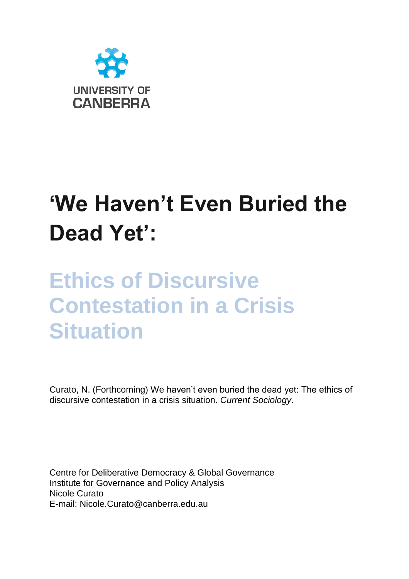

# **'We Haven't Even Buried the Dead Yet':**

## **Ethics of Discursive Contestation in a Crisis Situation**

Curato, N. (Forthcoming) We haven't even buried the dead yet: The ethics of discursive contestation in a crisis situation. *Current Sociology*.

Centre for Deliberative Democracy & Global Governance Institute for Governance and Policy Analysis Nicole Curato E-mail: Nicole.Curato@canberra.edu.au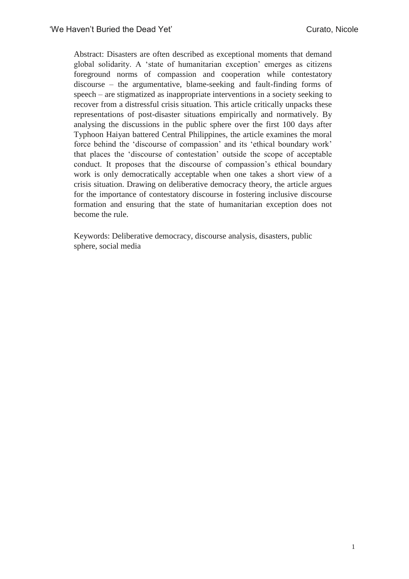Abstract: Disasters are often described as exceptional moments that demand global solidarity. A 'state of humanitarian exception' emerges as citizens foreground norms of compassion and cooperation while contestatory discourse – the argumentative, blame-seeking and fault-finding forms of speech – are stigmatized as inappropriate interventions in a society seeking to recover from a distressful crisis situation. This article critically unpacks these representations of post-disaster situations empirically and normatively. By analysing the discussions in the public sphere over the first 100 days after Typhoon Haiyan battered Central Philippines, the article examines the moral force behind the 'discourse of compassion' and its 'ethical boundary work' that places the 'discourse of contestation' outside the scope of acceptable conduct. It proposes that the discourse of compassion's ethical boundary work is only democratically acceptable when one takes a short view of a crisis situation. Drawing on deliberative democracy theory, the article argues for the importance of contestatory discourse in fostering inclusive discourse formation and ensuring that the state of humanitarian exception does not become the rule.

Keywords: Deliberative democracy, discourse analysis, disasters, public sphere, social media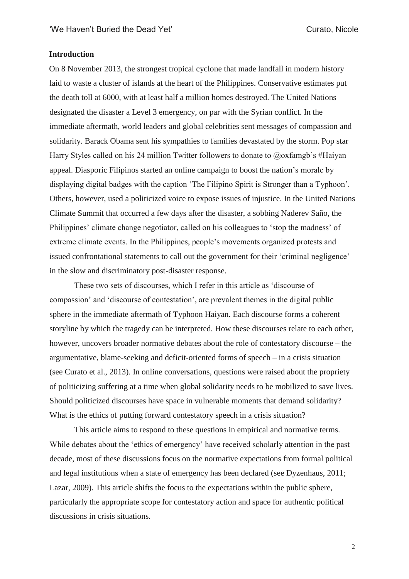#### **Introduction**

On 8 November 2013, the strongest tropical cyclone that made landfall in modern history laid to waste a cluster of islands at the heart of the Philippines. Conservative estimates put the death toll at 6000, with at least half a million homes destroyed. The United Nations designated the disaster a Level 3 emergency, on par with the Syrian conflict. In the immediate aftermath, world leaders and global celebrities sent messages of compassion and solidarity. Barack Obama sent his sympathies to families devastated by the storm. Pop star Harry Styles called on his 24 million Twitter followers to donate to  $\omega$  oxfamgb's #Haiyan appeal. Diasporic Filipinos started an online campaign to boost the nation's morale by displaying digital badges with the caption 'The Filipino Spirit is Stronger than a Typhoon'. Others, however, used a politicized voice to expose issues of injustice. In the United Nations Climate Summit that occurred a few days after the disaster, a sobbing Naderev Saño, the Philippines' climate change negotiator, called on his colleagues to 'stop the madness' of extreme climate events. In the Philippines, people's movements organized protests and issued confrontational statements to call out the government for their 'criminal negligence' in the slow and discriminatory post-disaster response.

These two sets of discourses, which I refer in this article as 'discourse of compassion' and 'discourse of contestation', are prevalent themes in the digital public sphere in the immediate aftermath of Typhoon Haiyan. Each discourse forms a coherent storyline by which the tragedy can be interpreted. How these discourses relate to each other, however, uncovers broader normative debates about the role of contestatory discourse – the argumentative, blame-seeking and deficit-oriented forms of speech – in a crisis situation (see Curato et al., 2013). In online conversations, questions were raised about the propriety of politicizing suffering at a time when global solidarity needs to be mobilized to save lives. Should politicized discourses have space in vulnerable moments that demand solidarity? What is the ethics of putting forward contestatory speech in a crisis situation?

This article aims to respond to these questions in empirical and normative terms. While debates about the 'ethics of emergency' have received scholarly attention in the past decade, most of these discussions focus on the normative expectations from formal political and legal institutions when a state of emergency has been declared (see Dyzenhaus, 2011; Lazar, 2009). This article shifts the focus to the expectations within the public sphere, particularly the appropriate scope for contestatory action and space for authentic political discussions in crisis situations.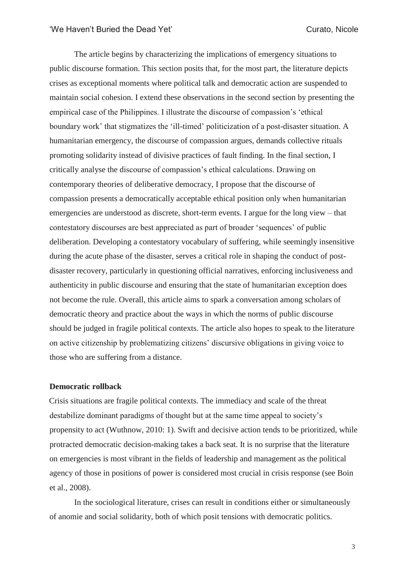The article begins by characterizing the implications of emergency situations to public discourse formation. This section posits that, for the most part, the literature depicts crises as exceptional moments where political talk and democratic action are suspended to maintain social cohesion. I extend these observations in the second section by presenting the empirical case of the Philippines. I illustrate the discourse of compassion's 'ethical boundary work' that stigmatizes the 'ill-timed' politicization of a post-disaster situation. A humanitarian emergency, the discourse of compassion argues, demands collective rituals promoting solidarity instead of divisive practices of fault finding. In the final section, I critically analyse the discourse of compassion's ethical calculations. Drawing on contemporary theories of deliberative democracy, I propose that the discourse of compassion presents a democratically acceptable ethical position only when humanitarian emergencies are understood as discrete, short-term events. I argue for the long view – that contestatory discourses are best appreciated as part of broader 'sequences' of public deliberation. Developing a contestatory vocabulary of suffering, while seemingly insensitive during the acute phase of the disaster, serves a critical role in shaping the conduct of postdisaster recovery, particularly in questioning official narratives, enforcing inclusiveness and authenticity in public discourse and ensuring that the state of humanitarian exception does not become the rule. Overall, this article aims to spark a conversation among scholars of democratic theory and practice about the ways in which the norms of public discourse should be judged in fragile political contexts. The article also hopes to speak to the literature on active citizenship by problematizing citizens' discursive obligations in giving voice to those who are suffering from a distance.

#### **Democratic rollback**

Crisis situations are fragile political contexts. The immediacy and scale of the threat destabilize dominant paradigms of thought but at the same time appeal to society's propensity to act (Wuthnow, 2010: 1). Swift and decisive action tends to be prioritized, while protracted democratic decision-making takes a back seat. It is no surprise that the literature on emergencies is most vibrant in the fields of leadership and management as the political agency of those in positions of power is considered most crucial in crisis response (see Boin et al., 2008).

In the sociological literature, crises can result in conditions either or simultaneously of anomie and social solidarity, both of which posit tensions with democratic politics.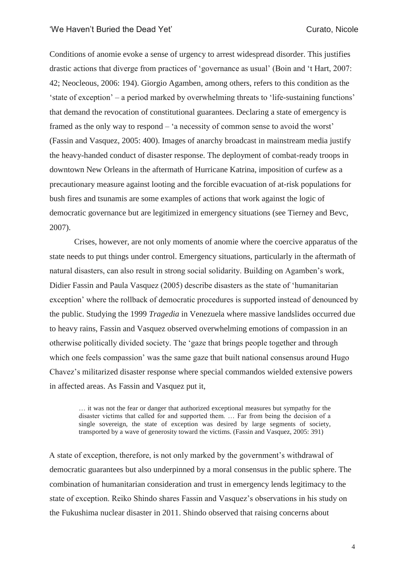Conditions of anomie evoke a sense of urgency to arrest widespread disorder. This justifies drastic actions that diverge from practices of 'governance as usual' (Boin and 't Hart, 2007: 42; Neocleous, 2006: 194). Giorgio Agamben, among others, refers to this condition as the 'state of exception' – a period marked by overwhelming threats to 'life-sustaining functions' that demand the revocation of constitutional guarantees. Declaring a state of emergency is framed as the only way to respond – 'a necessity of common sense to avoid the worst' (Fassin and Vasquez, 2005: 400). Images of anarchy broadcast in mainstream media justify the heavy-handed conduct of disaster response. The deployment of combat-ready troops in downtown New Orleans in the aftermath of Hurricane Katrina, imposition of curfew as a precautionary measure against looting and the forcible evacuation of at-risk populations for bush fires and tsunamis are some examples of actions that work against the logic of democratic governance but are legitimized in emergency situations (see Tierney and Bevc, 2007).

Crises, however, are not only moments of anomie where the coercive apparatus of the state needs to put things under control. Emergency situations, particularly in the aftermath of natural disasters, can also result in strong social solidarity. Building on Agamben's work, Didier Fassin and Paula Vasquez (2005) describe disasters as the state of 'humanitarian exception' where the rollback of democratic procedures is supported instead of denounced by the public. Studying the 1999 *Tragedia* in Venezuela where massive landslides occurred due to heavy rains, Fassin and Vasquez observed overwhelming emotions of compassion in an otherwise politically divided society. The 'gaze that brings people together and through which one feels compassion' was the same gaze that built national consensus around Hugo Chavez's militarized disaster response where special commandos wielded extensive powers in affected areas. As Fassin and Vasquez put it,

… it was not the fear or danger that authorized exceptional measures but sympathy for the disaster victims that called for and supported them. … Far from being the decision of a single sovereign, the state of exception was desired by large segments of society, transported by a wave of generosity toward the victims. (Fassin and Vasquez, 2005: 391)

A state of exception, therefore, is not only marked by the government's withdrawal of democratic guarantees but also underpinned by a moral consensus in the public sphere. The combination of humanitarian consideration and trust in emergency lends legitimacy to the state of exception. Reiko Shindo shares Fassin and Vasquez's observations in his study on the Fukushima nuclear disaster in 2011. Shindo observed that raising concerns about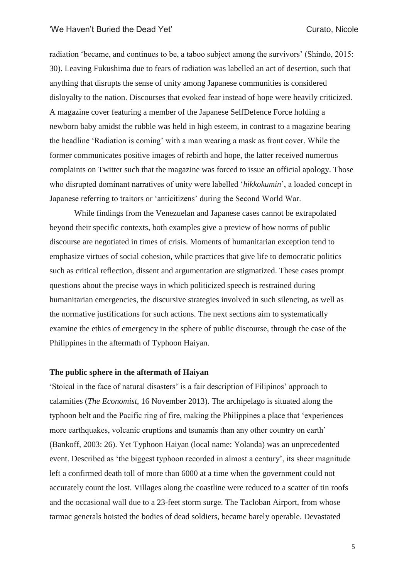radiation 'became, and continues to be, a taboo subject among the survivors' (Shindo, 2015: 30). Leaving Fukushima due to fears of radiation was labelled an act of desertion, such that anything that disrupts the sense of unity among Japanese communities is considered disloyalty to the nation. Discourses that evoked fear instead of hope were heavily criticized. A magazine cover featuring a member of the Japanese SelfDefence Force holding a newborn baby amidst the rubble was held in high esteem, in contrast to a magazine bearing the headline 'Radiation is coming' with a man wearing a mask as front cover. While the former communicates positive images of rebirth and hope, the latter received numerous complaints on Twitter such that the magazine was forced to issue an official apology. Those who disrupted dominant narratives of unity were labelled '*hikkokumin*', a loaded concept in Japanese referring to traitors or 'anticitizens' during the Second World War.

While findings from the Venezuelan and Japanese cases cannot be extrapolated beyond their specific contexts, both examples give a preview of how norms of public discourse are negotiated in times of crisis. Moments of humanitarian exception tend to emphasize virtues of social cohesion, while practices that give life to democratic politics such as critical reflection, dissent and argumentation are stigmatized. These cases prompt questions about the precise ways in which politicized speech is restrained during humanitarian emergencies, the discursive strategies involved in such silencing, as well as the normative justifications for such actions. The next sections aim to systematically examine the ethics of emergency in the sphere of public discourse, through the case of the Philippines in the aftermath of Typhoon Haiyan.

#### **The public sphere in the aftermath of Haiyan**

'Stoical in the face of natural disasters' is a fair description of Filipinos' approach to calamities (*The Economist*, 16 November 2013). The archipelago is situated along the typhoon belt and the Pacific ring of fire, making the Philippines a place that 'experiences more earthquakes, volcanic eruptions and tsunamis than any other country on earth' (Bankoff, 2003: 26). Yet Typhoon Haiyan (local name: Yolanda) was an unprecedented event. Described as 'the biggest typhoon recorded in almost a century', its sheer magnitude left a confirmed death toll of more than 6000 at a time when the government could not accurately count the lost. Villages along the coastline were reduced to a scatter of tin roofs and the occasional wall due to a 23-feet storm surge. The Tacloban Airport, from whose tarmac generals hoisted the bodies of dead soldiers, became barely operable. Devastated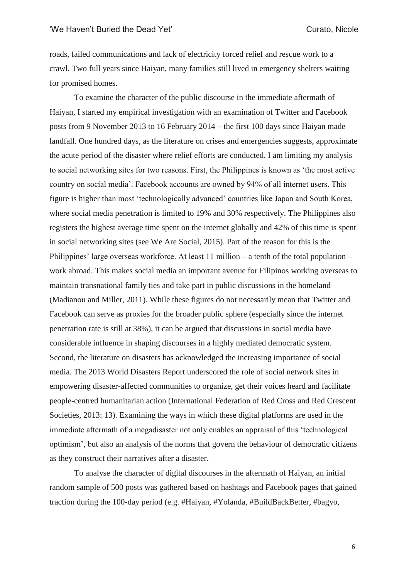#### 'We Haven't Buried the Dead Yet' Curato, Nicole

roads, failed communications and lack of electricity forced relief and rescue work to a crawl. Two full years since Haiyan, many families still lived in emergency shelters waiting for promised homes.

To examine the character of the public discourse in the immediate aftermath of Haiyan, I started my empirical investigation with an examination of Twitter and Facebook posts from 9 November 2013 to 16 February 2014 – the first 100 days since Haiyan made landfall. One hundred days, as the literature on crises and emergencies suggests, approximate the acute period of the disaster where relief efforts are conducted. I am limiting my analysis to social networking sites for two reasons. First, the Philippines is known as 'the most active country on social media'. Facebook accounts are owned by 94% of all internet users. This figure is higher than most 'technologically advanced' countries like Japan and South Korea, where social media penetration is limited to 19% and 30% respectively. The Philippines also registers the highest average time spent on the internet globally and 42% of this time is spent in social networking sites (see We Are Social, 2015). Part of the reason for this is the Philippines' large overseas workforce. At least 11 million – a tenth of the total population – work abroad. This makes social media an important avenue for Filipinos working overseas to maintain transnational family ties and take part in public discussions in the homeland (Madianou and Miller, 2011). While these figures do not necessarily mean that Twitter and Facebook can serve as proxies for the broader public sphere (especially since the internet penetration rate is still at 38%), it can be argued that discussions in social media have considerable influence in shaping discourses in a highly mediated democratic system. Second, the literature on disasters has acknowledged the increasing importance of social media. The 2013 World Disasters Report underscored the role of social network sites in empowering disaster-affected communities to organize, get their voices heard and facilitate people-centred humanitarian action (International Federation of Red Cross and Red Crescent Societies, 2013: 13). Examining the ways in which these digital platforms are used in the immediate aftermath of a megadisaster not only enables an appraisal of this 'technological optimism', but also an analysis of the norms that govern the behaviour of democratic citizens as they construct their narratives after a disaster.

To analyse the character of digital discourses in the aftermath of Haiyan, an initial random sample of 500 posts was gathered based on hashtags and Facebook pages that gained traction during the 100-day period (e.g. #Haiyan, #Yolanda, #BuildBackBetter, #bagyo,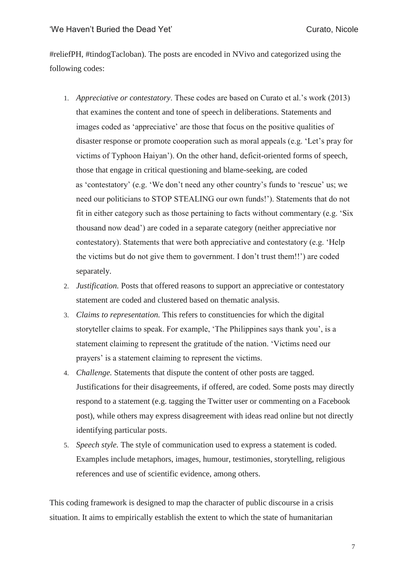#reliefPH, #tindogTacloban). The posts are encoded in NVivo and categorized using the following codes:

- 1. *Appreciative or contestatory*. These codes are based on Curato et al.'s work (2013) that examines the content and tone of speech in deliberations. Statements and images coded as 'appreciative' are those that focus on the positive qualities of disaster response or promote cooperation such as moral appeals (e.g. 'Let's pray for victims of Typhoon Haiyan'). On the other hand, deficit-oriented forms of speech, those that engage in critical questioning and blame-seeking, are coded as 'contestatory' (e.g. 'We don't need any other country's funds to 'rescue' us; we need our politicians to STOP STEALING our own funds!'). Statements that do not fit in either category such as those pertaining to facts without commentary (e.g. 'Six thousand now dead') are coded in a separate category (neither appreciative nor contestatory). Statements that were both appreciative and contestatory (e.g. 'Help the victims but do not give them to government. I don't trust them!!') are coded separately.
- 2. *Justification.* Posts that offered reasons to support an appreciative or contestatory statement are coded and clustered based on thematic analysis.
- 3. *Claims to representation.* This refers to constituencies for which the digital storyteller claims to speak. For example, 'The Philippines says thank you', is a statement claiming to represent the gratitude of the nation. 'Victims need our prayers' is a statement claiming to represent the victims.
- 4. *Challenge.* Statements that dispute the content of other posts are tagged. Justifications for their disagreements, if offered, are coded. Some posts may directly respond to a statement (e.g. tagging the Twitter user or commenting on a Facebook post), while others may express disagreement with ideas read online but not directly identifying particular posts.
- 5. *Speech style.* The style of communication used to express a statement is coded. Examples include metaphors, images, humour, testimonies, storytelling, religious references and use of scientific evidence, among others.

This coding framework is designed to map the character of public discourse in a crisis situation. It aims to empirically establish the extent to which the state of humanitarian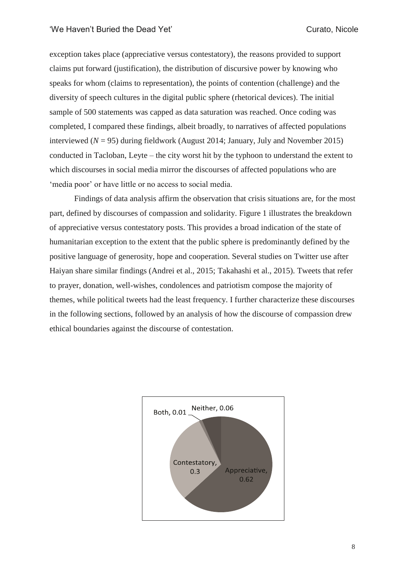exception takes place (appreciative versus contestatory), the reasons provided to support claims put forward (justification), the distribution of discursive power by knowing who speaks for whom (claims to representation), the points of contention (challenge) and the diversity of speech cultures in the digital public sphere (rhetorical devices). The initial sample of 500 statements was capped as data saturation was reached. Once coding was completed, I compared these findings, albeit broadly, to narratives of affected populations interviewed ( $N = 95$ ) during fieldwork (August 2014; January, July and November 2015) conducted in Tacloban, Leyte – the city worst hit by the typhoon to understand the extent to which discourses in social media mirror the discourses of affected populations who are 'media poor' or have little or no access to social media.

Findings of data analysis affirm the observation that crisis situations are, for the most part, defined by discourses of compassion and solidarity. Figure 1 illustrates the breakdown of appreciative versus contestatory posts. This provides a broad indication of the state of humanitarian exception to the extent that the public sphere is predominantly defined by the positive language of generosity, hope and cooperation. Several studies on Twitter use after Haiyan share similar findings (Andrei et al., 2015; Takahashi et al., 2015). Tweets that refer to prayer, donation, well-wishes, condolences and patriotism compose the majority of themes, while political tweets had the least frequency. I further characterize these discourses in the following sections, followed by an analysis of how the discourse of compassion drew ethical boundaries against the discourse of contestation.

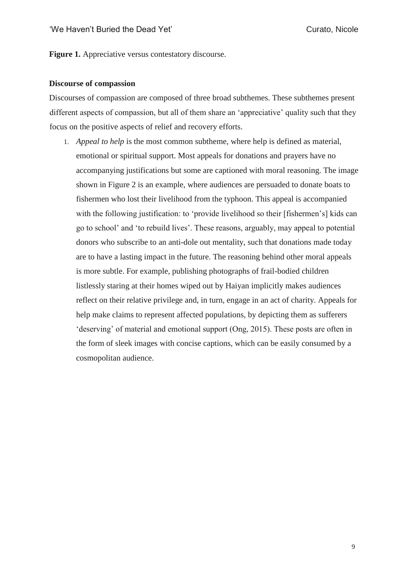**Figure 1.** Appreciative versus contestatory discourse.

#### **Discourse of compassion**

Discourses of compassion are composed of three broad subthemes. These subthemes present different aspects of compassion, but all of them share an 'appreciative' quality such that they focus on the positive aspects of relief and recovery efforts.

1. *Appeal to help* is the most common subtheme, where help is defined as material, emotional or spiritual support. Most appeals for donations and prayers have no accompanying justifications but some are captioned with moral reasoning. The image shown in Figure 2 is an example, where audiences are persuaded to donate boats to fishermen who lost their livelihood from the typhoon. This appeal is accompanied with the following justification: to 'provide livelihood so their [fishermen's] kids can go to school' and 'to rebuild lives'. These reasons, arguably, may appeal to potential donors who subscribe to an anti-dole out mentality, such that donations made today are to have a lasting impact in the future. The reasoning behind other moral appeals is more subtle. For example, publishing photographs of frail-bodied children listlessly staring at their homes wiped out by Haiyan implicitly makes audiences reflect on their relative privilege and, in turn, engage in an act of charity. Appeals for help make claims to represent affected populations, by depicting them as sufferers 'deserving' of material and emotional support (Ong, 2015). These posts are often in the form of sleek images with concise captions, which can be easily consumed by a cosmopolitan audience.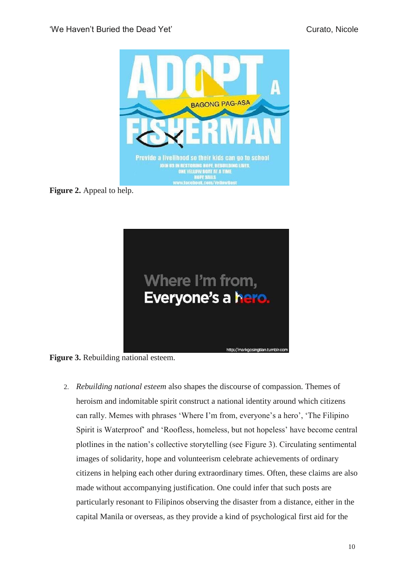

**Figure 2.** Appeal to help.



**Figure 3.** Rebuilding national esteem.

2. *Rebuilding national esteem* also shapes the discourse of compassion. Themes of heroism and indomitable spirit construct a national identity around which citizens can rally. Memes with phrases 'Where I'm from, everyone's a hero', 'The Filipino Spirit is Waterproof' and 'Roofless, homeless, but not hopeless' have become central plotlines in the nation's collective storytelling (see Figure 3). Circulating sentimental images of solidarity, hope and volunteerism celebrate achievements of ordinary citizens in helping each other during extraordinary times. Often, these claims are also made without accompanying justification. One could infer that such posts are particularly resonant to Filipinos observing the disaster from a distance, either in the capital Manila or overseas, as they provide a kind of psychological first aid for the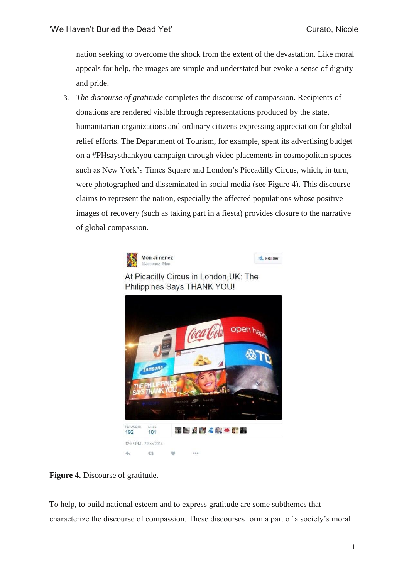nation seeking to overcome the shock from the extent of the devastation. Like moral appeals for help, the images are simple and understated but evoke a sense of dignity and pride.

3. *The discourse of gratitude* completes the discourse of compassion. Recipients of donations are rendered visible through representations produced by the state, humanitarian organizations and ordinary citizens expressing appreciation for global relief efforts. The Department of Tourism, for example, spent its advertising budget on a #PHsaysthankyou campaign through video placements in cosmopolitan spaces such as New York's Times Square and London's Piccadilly Circus, which, in turn, were photographed and disseminated in social media (see Figure 4). This discourse claims to represent the nation, especially the affected populations whose positive images of recovery (such as taking part in a fiesta) provides closure to the narrative of global compassion.



+<sup>0</sup> Follow





**Figure 4.** Discourse of gratitude.

To help, to build national esteem and to express gratitude are some subthemes that characterize the discourse of compassion. These discourses form a part of a society's moral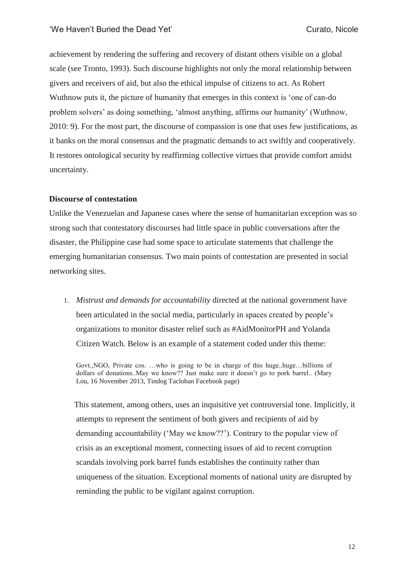achievement by rendering the suffering and recovery of distant others visible on a global scale (see Tronto, 1993). Such discourse highlights not only the moral relationship between givers and receivers of aid, but also the ethical impulse of citizens to act. As Robert Wuthnow puts it, the picture of humanity that emerges in this context is 'one of can-do problem solvers' as doing something, 'almost anything, affirms our humanity' (Wuthnow, 2010: 9). For the most part, the discourse of compassion is one that uses few justifications, as it banks on the moral consensus and the pragmatic demands to act swiftly and cooperatively. It restores ontological security by reaffirming collective virtues that provide comfort amidst uncertainty.

#### **Discourse of contestation**

Unlike the Venezuelan and Japanese cases where the sense of humanitarian exception was so strong such that contestatory discourses had little space in public conversations after the disaster, the Philippine case had some space to articulate statements that challenge the emerging humanitarian consensus. Two main points of contestation are presented in social networking sites.

1. *Mistrust and demands for accountability* directed at the national government have been articulated in the social media, particularly in spaces created by people's organizations to monitor disaster relief such as #AidMonitorPH and Yolanda Citizen Watch. Below is an example of a statement coded under this theme:

Govt.,NGO, Private cos. …who is going to be in charge of this huge..huge…billions of dollars of donations..May we know?? Just make sure it doesn't go to pork barrel.. (Mary Lou, 16 November 2013, Tindog Tacloban Facebook page)

This statement, among others, uses an inquisitive yet controversial tone. Implicitly, it attempts to represent the sentiment of both givers and recipients of aid by demanding accountability ('May we know??'). Contrary to the popular view of crisis as an exceptional moment, connecting issues of aid to recent corruption scandals involving pork barrel funds establishes the continuity rather than uniqueness of the situation. Exceptional moments of national unity are disrupted by reminding the public to be vigilant against corruption.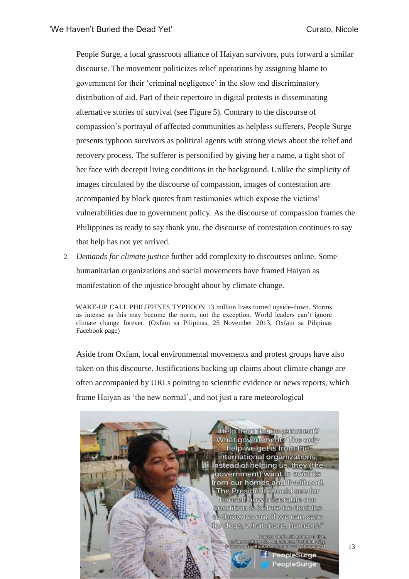People Surge, a local grassroots alliance of Haiyan survivors, puts forward a similar discourse. The movement politicizes relief operations by assigning blame to government for their 'criminal negligence' in the slow and discriminatory distribution of aid. Part of their repertoire in digital protests is disseminating alternative stories of survival (see Figure 5). Contrary to the discourse of compassion's portrayal of affected communities as helpless sufferers, People Surge presents typhoon survivors as political agents with strong views about the relief and recovery process. The sufferer is personified by giving her a name, a tight shot of her face with decrepit living conditions in the background. Unlike the simplicity of images circulated by the discourse of compassion, images of contestation are accompanied by block quotes from testimonies which expose the victims' vulnerabilities due to government policy. As the discourse of compassion frames the Philippines as ready to say thank you, the discourse of contestation continues to say that help has not yet arrived.

2. *Demands for climate justice* further add complexity to discourses online. Some humanitarian organizations and social movements have framed Haiyan as manifestation of the injustice brought about by climate change.

WAKE-UP CALL PHILIPPINES TYPHOON 13 million lives turned upside-down. Storms as intense as this may become the norm, not the exception. World leaders can't ignore climate change forever. (Oxfam sa Pilipinas, 25 November 2013, Oxfam sa Pilipinas Facebook page)

Aside from Oxfam, local environmental movements and protest groups have also taken on this discourse. Justifications backing up claims about climate change are often accompanied by URLs pointing to scientific evidence or news reports, which frame Haiyan as 'the new normal', and not just a rare meteorological

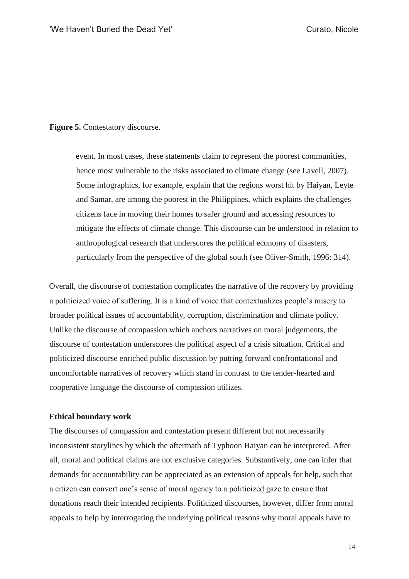**Figure 5.** Contestatory discourse.

event. In most cases, these statements claim to represent the poorest communities, hence most vulnerable to the risks associated to climate change (see Lavell, 2007). Some infographics, for example, explain that the regions worst hit by Haiyan, Leyte and Samar, are among the poorest in the Philippines, which explains the challenges citizens face in moving their homes to safer ground and accessing resources to mitigate the effects of climate change. This discourse can be understood in relation to anthropological research that underscores the political economy of disasters, particularly from the perspective of the global south (see Oliver-Smith, 1996: 314).

Overall, the discourse of contestation complicates the narrative of the recovery by providing a politicized voice of suffering. It is a kind of voice that contextualizes people's misery to broader political issues of accountability, corruption, discrimination and climate policy. Unlike the discourse of compassion which anchors narratives on moral judgements, the discourse of contestation underscores the political aspect of a crisis situation. Critical and politicized discourse enriched public discussion by putting forward confrontational and uncomfortable narratives of recovery which stand in contrast to the tender-hearted and cooperative language the discourse of compassion utilizes.

#### **Ethical boundary work**

The discourses of compassion and contestation present different but not necessarily inconsistent storylines by which the aftermath of Typhoon Haiyan can be interpreted. After all, moral and political claims are not exclusive categories. Substantively, one can infer that demands for accountability can be appreciated as an extension of appeals for help, such that a citizen can convert one's sense of moral agency to a politicized gaze to ensure that donations reach their intended recipients. Politicized discourses, however, differ from moral appeals to help by interrogating the underlying political reasons why moral appeals have to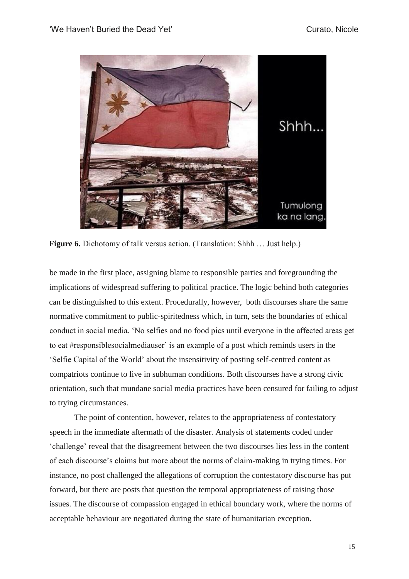

**Figure 6.** Dichotomy of talk versus action. (Translation: Shhh … Just help.)

be made in the first place, assigning blame to responsible parties and foregrounding the implications of widespread suffering to political practice. The logic behind both categories can be distinguished to this extent. Procedurally, however, both discourses share the same normative commitment to public-spiritedness which, in turn, sets the boundaries of ethical conduct in social media. 'No selfies and no food pics until everyone in the affected areas get to eat #responsiblesocialmediauser' is an example of a post which reminds users in the 'Selfie Capital of the World' about the insensitivity of posting self-centred content as compatriots continue to live in subhuman conditions. Both discourses have a strong civic orientation, such that mundane social media practices have been censured for failing to adjust to trying circumstances.

The point of contention, however, relates to the appropriateness of contestatory speech in the immediate aftermath of the disaster. Analysis of statements coded under 'challenge' reveal that the disagreement between the two discourses lies less in the content of each discourse's claims but more about the norms of claim-making in trying times. For instance, no post challenged the allegations of corruption the contestatory discourse has put forward, but there are posts that question the temporal appropriateness of raising those issues. The discourse of compassion engaged in ethical boundary work, where the norms of acceptable behaviour are negotiated during the state of humanitarian exception.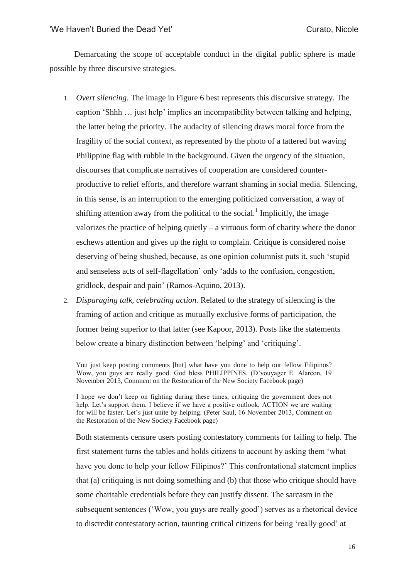Demarcating the scope of acceptable conduct in the digital public sphere is made possible by three discursive strategies.

- 1. *Overt silencing*. The image in Figure 6 best represents this discursive strategy. The caption 'Shhh … just help' implies an incompatibility between talking and helping, the latter being the priority. The audacity of silencing draws moral force from the fragility of the social context, as represented by the photo of a tattered but waving Philippine flag with rubble in the background. Given the urgency of the situation, discourses that complicate narratives of cooperation are considered counterproductive to relief efforts, and therefore warrant shaming in social media. Silencing, in this sense, is an interruption to the emerging politicized conversation, a way of shifting attention away from the political to the social.<sup>1</sup> Implicitly, the image valorizes the practice of helping quietly  $-$  a virtuous form of charity where the donor eschews attention and gives up the right to complain. Critique is considered noise deserving of being shushed, because, as one opinion columnist puts it, such 'stupid and senseless acts of self-flagellation' only 'adds to the confusion, congestion, gridlock, despair and pain' (Ramos-Aquino, 2013).
- 2. *Disparaging talk, celebrating action.* Related to the strategy of silencing is the framing of action and critique as mutually exclusive forms of participation, the former being superior to that latter (see Kapoor, 2013). Posts like the statements below create a binary distinction between 'helping' and 'critiquing'.

You just keep posting comments [but] what have you done to help our fellow Filipinos? Wow, you guys are really good. God bless PHILIPPINES. (D'vouyager E. Alarcon, 19 November 2013, Comment on the Restoration of the New Society Facebook page)

I hope we don't keep on fighting during these times, critiquing the government does not help. Let's support them. I believe if we have a positive outlook, ACTION we are waiting for will be faster. Let's just unite by helping. (Peter Saul, 16 November 2013, Comment on the Restoration of the New Society Facebook page)

Both statements censure users posting contestatory comments for failing to help. The first statement turns the tables and holds citizens to account by asking them 'what have you done to help your fellow Filipinos?' This confrontational statement implies that (a) critiquing is not doing something and (b) that those who critique should have some charitable credentials before they can justify dissent. The sarcasm in the subsequent sentences ('Wow, you guys are really good') serves as a rhetorical device to discredit contestatory action, taunting critical citizens for being 'really good' at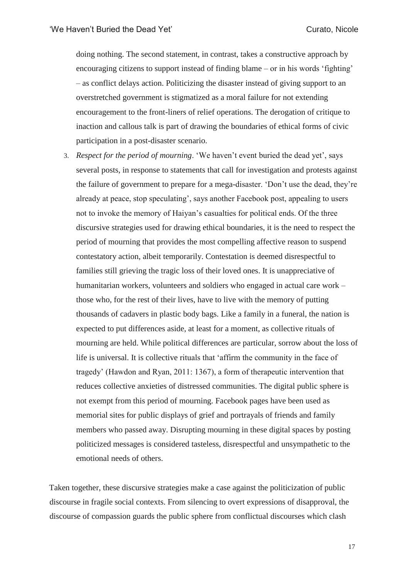doing nothing. The second statement, in contrast, takes a constructive approach by encouraging citizens to support instead of finding blame – or in his words 'fighting' – as conflict delays action. Politicizing the disaster instead of giving support to an overstretched government is stigmatized as a moral failure for not extending encouragement to the front-liners of relief operations. The derogation of critique to inaction and callous talk is part of drawing the boundaries of ethical forms of civic participation in a post-disaster scenario.

3. *Respect for the period of mourning*. 'We haven't event buried the dead yet', says several posts, in response to statements that call for investigation and protests against the failure of government to prepare for a mega-disaster. 'Don't use the dead, they're already at peace, stop speculating', says another Facebook post, appealing to users not to invoke the memory of Haiyan's casualties for political ends. Of the three discursive strategies used for drawing ethical boundaries, it is the need to respect the period of mourning that provides the most compelling affective reason to suspend contestatory action, albeit temporarily. Contestation is deemed disrespectful to families still grieving the tragic loss of their loved ones. It is unappreciative of humanitarian workers, volunteers and soldiers who engaged in actual care work – those who, for the rest of their lives, have to live with the memory of putting thousands of cadavers in plastic body bags. Like a family in a funeral, the nation is expected to put differences aside, at least for a moment, as collective rituals of mourning are held. While political differences are particular, sorrow about the loss of life is universal. It is collective rituals that 'affirm the community in the face of tragedy' (Hawdon and Ryan, 2011: 1367), a form of therapeutic intervention that reduces collective anxieties of distressed communities. The digital public sphere is not exempt from this period of mourning. Facebook pages have been used as memorial sites for public displays of grief and portrayals of friends and family members who passed away. Disrupting mourning in these digital spaces by posting politicized messages is considered tasteless, disrespectful and unsympathetic to the emotional needs of others.

Taken together, these discursive strategies make a case against the politicization of public discourse in fragile social contexts. From silencing to overt expressions of disapproval, the discourse of compassion guards the public sphere from conflictual discourses which clash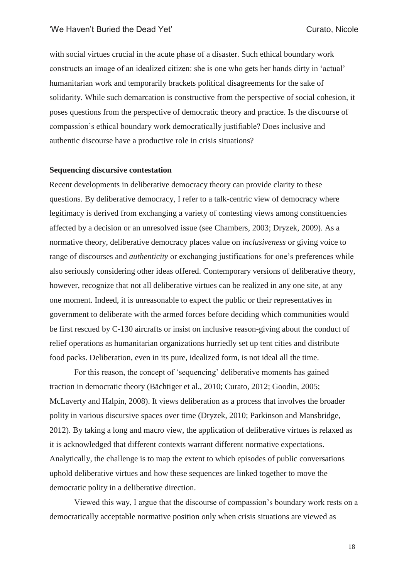with social virtues crucial in the acute phase of a disaster. Such ethical boundary work constructs an image of an idealized citizen: she is one who gets her hands dirty in 'actual' humanitarian work and temporarily brackets political disagreements for the sake of solidarity. While such demarcation is constructive from the perspective of social cohesion, it poses questions from the perspective of democratic theory and practice. Is the discourse of compassion's ethical boundary work democratically justifiable? Does inclusive and authentic discourse have a productive role in crisis situations?

#### **Sequencing discursive contestation**

Recent developments in deliberative democracy theory can provide clarity to these questions. By deliberative democracy, I refer to a talk-centric view of democracy where legitimacy is derived from exchanging a variety of contesting views among constituencies affected by a decision or an unresolved issue (see Chambers, 2003; Dryzek, 2009). As a normative theory, deliberative democracy places value on *inclusiveness* or giving voice to range of discourses and *authenticity* or exchanging justifications for one's preferences while also seriously considering other ideas offered. Contemporary versions of deliberative theory, however, recognize that not all deliberative virtues can be realized in any one site, at any one moment. Indeed, it is unreasonable to expect the public or their representatives in government to deliberate with the armed forces before deciding which communities would be first rescued by C-130 aircrafts or insist on inclusive reason-giving about the conduct of relief operations as humanitarian organizations hurriedly set up tent cities and distribute food packs. Deliberation, even in its pure, idealized form, is not ideal all the time.

For this reason, the concept of 'sequencing' deliberative moments has gained traction in democratic theory (Bächtiger et al., 2010; Curato, 2012; Goodin, 2005; McLaverty and Halpin, 2008). It views deliberation as a process that involves the broader polity in various discursive spaces over time (Dryzek, 2010; Parkinson and Mansbridge, 2012). By taking a long and macro view, the application of deliberative virtues is relaxed as it is acknowledged that different contexts warrant different normative expectations. Analytically, the challenge is to map the extent to which episodes of public conversations uphold deliberative virtues and how these sequences are linked together to move the democratic polity in a deliberative direction.

Viewed this way, I argue that the discourse of compassion's boundary work rests on a democratically acceptable normative position only when crisis situations are viewed as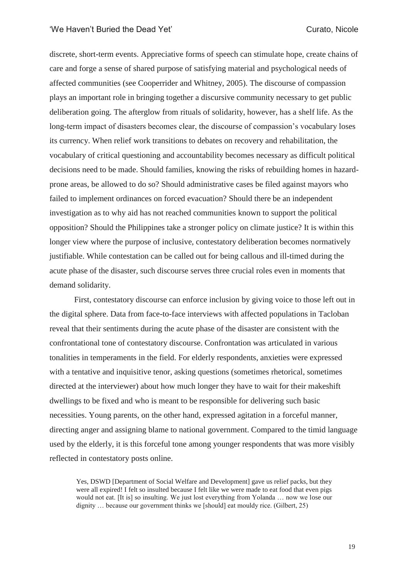#### 'We Haven't Buried the Dead Yet' Curato, Nicole

discrete, short-term events. Appreciative forms of speech can stimulate hope, create chains of care and forge a sense of shared purpose of satisfying material and psychological needs of affected communities (see Cooperrider and Whitney, 2005). The discourse of compassion plays an important role in bringing together a discursive community necessary to get public deliberation going. The afterglow from rituals of solidarity, however, has a shelf life. As the long-term impact of disasters becomes clear, the discourse of compassion's vocabulary loses its currency. When relief work transitions to debates on recovery and rehabilitation, the vocabulary of critical questioning and accountability becomes necessary as difficult political decisions need to be made. Should families, knowing the risks of rebuilding homes in hazardprone areas, be allowed to do so? Should administrative cases be filed against mayors who failed to implement ordinances on forced evacuation? Should there be an independent investigation as to why aid has not reached communities known to support the political opposition? Should the Philippines take a stronger policy on climate justice? It is within this longer view where the purpose of inclusive, contestatory deliberation becomes normatively justifiable. While contestation can be called out for being callous and ill-timed during the acute phase of the disaster, such discourse serves three crucial roles even in moments that demand solidarity.

First, contestatory discourse can enforce inclusion by giving voice to those left out in the digital sphere. Data from face-to-face interviews with affected populations in Tacloban reveal that their sentiments during the acute phase of the disaster are consistent with the confrontational tone of contestatory discourse. Confrontation was articulated in various tonalities in temperaments in the field. For elderly respondents, anxieties were expressed with a tentative and inquisitive tenor, asking questions (sometimes rhetorical, sometimes directed at the interviewer) about how much longer they have to wait for their makeshift dwellings to be fixed and who is meant to be responsible for delivering such basic necessities. Young parents, on the other hand, expressed agitation in a forceful manner, directing anger and assigning blame to national government. Compared to the timid language used by the elderly, it is this forceful tone among younger respondents that was more visibly reflected in contestatory posts online.

Yes, DSWD [Department of Social Welfare and Development] gave us relief packs, but they were all expired! I felt so insulted because I felt like we were made to eat food that even pigs would not eat. [It is] so insulting. We just lost everything from Yolanda … now we lose our dignity … because our government thinks we [should] eat mouldy rice. (Gilbert, 25)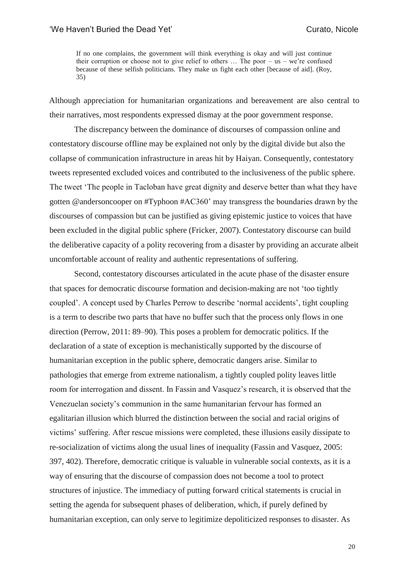If no one complains, the government will think everything is okay and will just continue their corruption or choose not to give relief to others  $\dots$  The poor – us – we're confused because of these selfish politicians. They make us fight each other [because of aid]. (Roy, 35)

Although appreciation for humanitarian organizations and bereavement are also central to their narratives, most respondents expressed dismay at the poor government response.

The discrepancy between the dominance of discourses of compassion online and contestatory discourse offline may be explained not only by the digital divide but also the collapse of communication infrastructure in areas hit by Haiyan. Consequently, contestatory tweets represented excluded voices and contributed to the inclusiveness of the public sphere. The tweet 'The people in Tacloban have great dignity and deserve better than what they have gotten @andersoncooper on #Typhoon #AC360' may transgress the boundaries drawn by the discourses of compassion but can be justified as giving epistemic justice to voices that have been excluded in the digital public sphere (Fricker, 2007). Contestatory discourse can build the deliberative capacity of a polity recovering from a disaster by providing an accurate albeit uncomfortable account of reality and authentic representations of suffering.

Second, contestatory discourses articulated in the acute phase of the disaster ensure that spaces for democratic discourse formation and decision-making are not 'too tightly coupled'. A concept used by Charles Perrow to describe 'normal accidents', tight coupling is a term to describe two parts that have no buffer such that the process only flows in one direction (Perrow, 2011: 89–90). This poses a problem for democratic politics. If the declaration of a state of exception is mechanistically supported by the discourse of humanitarian exception in the public sphere, democratic dangers arise. Similar to pathologies that emerge from extreme nationalism, a tightly coupled polity leaves little room for interrogation and dissent. In Fassin and Vasquez's research, it is observed that the Venezuelan society's communion in the same humanitarian fervour has formed an egalitarian illusion which blurred the distinction between the social and racial origins of victims' suffering. After rescue missions were completed, these illusions easily dissipate to re-socialization of victims along the usual lines of inequality (Fassin and Vasquez, 2005: 397, 402). Therefore, democratic critique is valuable in vulnerable social contexts, as it is a way of ensuring that the discourse of compassion does not become a tool to protect structures of injustice. The immediacy of putting forward critical statements is crucial in setting the agenda for subsequent phases of deliberation, which, if purely defined by humanitarian exception, can only serve to legitimize depoliticized responses to disaster. As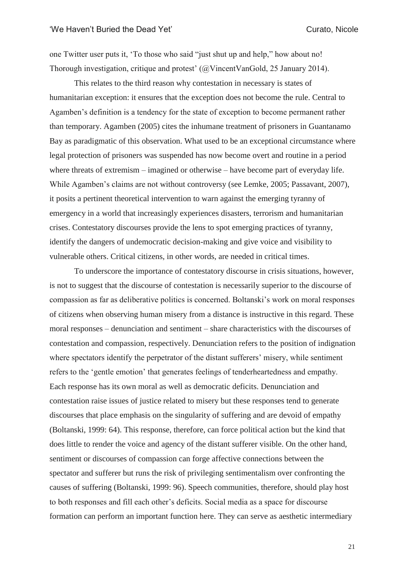one Twitter user puts it, 'To those who said "just shut up and help," how about no! Thorough investigation, critique and protest' (@VincentVanGold, 25 January 2014).

This relates to the third reason why contestation in necessary is states of humanitarian exception: it ensures that the exception does not become the rule. Central to Agamben's definition is a tendency for the state of exception to become permanent rather than temporary. Agamben (2005) cites the inhumane treatment of prisoners in Guantanamo Bay as paradigmatic of this observation. What used to be an exceptional circumstance where legal protection of prisoners was suspended has now become overt and routine in a period where threats of extremism – imagined or otherwise – have become part of everyday life. While Agamben's claims are not without controversy (see Lemke, 2005; Passavant, 2007), it posits a pertinent theoretical intervention to warn against the emerging tyranny of emergency in a world that increasingly experiences disasters, terrorism and humanitarian crises. Contestatory discourses provide the lens to spot emerging practices of tyranny, identify the dangers of undemocratic decision-making and give voice and visibility to vulnerable others. Critical citizens, in other words, are needed in critical times.

To underscore the importance of contestatory discourse in crisis situations, however, is not to suggest that the discourse of contestation is necessarily superior to the discourse of compassion as far as deliberative politics is concerned. Boltanski's work on moral responses of citizens when observing human misery from a distance is instructive in this regard. These moral responses – denunciation and sentiment – share characteristics with the discourses of contestation and compassion, respectively. Denunciation refers to the position of indignation where spectators identify the perpetrator of the distant sufferers' misery, while sentiment refers to the 'gentle emotion' that generates feelings of tenderheartedness and empathy. Each response has its own moral as well as democratic deficits. Denunciation and contestation raise issues of justice related to misery but these responses tend to generate discourses that place emphasis on the singularity of suffering and are devoid of empathy (Boltanski, 1999: 64). This response, therefore, can force political action but the kind that does little to render the voice and agency of the distant sufferer visible. On the other hand, sentiment or discourses of compassion can forge affective connections between the spectator and sufferer but runs the risk of privileging sentimentalism over confronting the causes of suffering (Boltanski, 1999: 96). Speech communities, therefore, should play host to both responses and fill each other's deficits. Social media as a space for discourse formation can perform an important function here. They can serve as aesthetic intermediary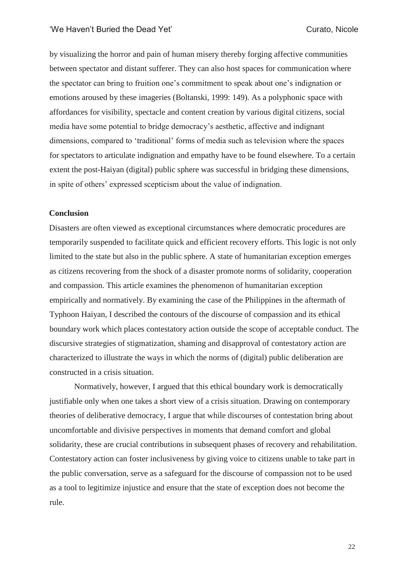by visualizing the horror and pain of human misery thereby forging affective communities between spectator and distant sufferer. They can also host spaces for communication where the spectator can bring to fruition one's commitment to speak about one's indignation or emotions aroused by these imageries (Boltanski, 1999: 149). As a polyphonic space with affordances for visibility, spectacle and content creation by various digital citizens, social media have some potential to bridge democracy's aesthetic, affective and indignant dimensions, compared to 'traditional' forms of media such as television where the spaces for spectators to articulate indignation and empathy have to be found elsewhere. To a certain extent the post-Haiyan (digital) public sphere was successful in bridging these dimensions, in spite of others' expressed scepticism about the value of indignation.

#### **Conclusion**

Disasters are often viewed as exceptional circumstances where democratic procedures are temporarily suspended to facilitate quick and efficient recovery efforts. This logic is not only limited to the state but also in the public sphere. A state of humanitarian exception emerges as citizens recovering from the shock of a disaster promote norms of solidarity, cooperation and compassion. This article examines the phenomenon of humanitarian exception empirically and normatively. By examining the case of the Philippines in the aftermath of Typhoon Haiyan, I described the contours of the discourse of compassion and its ethical boundary work which places contestatory action outside the scope of acceptable conduct. The discursive strategies of stigmatization, shaming and disapproval of contestatory action are characterized to illustrate the ways in which the norms of (digital) public deliberation are constructed in a crisis situation.

Normatively, however, I argued that this ethical boundary work is democratically justifiable only when one takes a short view of a crisis situation. Drawing on contemporary theories of deliberative democracy, I argue that while discourses of contestation bring about uncomfortable and divisive perspectives in moments that demand comfort and global solidarity, these are crucial contributions in subsequent phases of recovery and rehabilitation. Contestatory action can foster inclusiveness by giving voice to citizens unable to take part in the public conversation, serve as a safeguard for the discourse of compassion not to be used as a tool to legitimize injustice and ensure that the state of exception does not become the rule.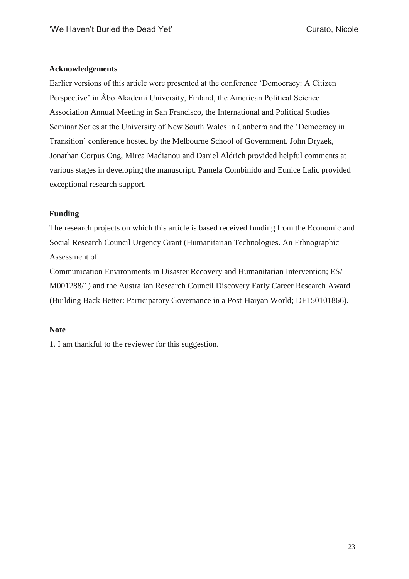#### **Acknowledgements**

Earlier versions of this article were presented at the conference 'Democracy: A Citizen Perspective' in Åbo Akademi University, Finland, the American Political Science Association Annual Meeting in San Francisco, the International and Political Studies Seminar Series at the University of New South Wales in Canberra and the 'Democracy in Transition' conference hosted by the Melbourne School of Government. John Dryzek, Jonathan Corpus Ong, Mirca Madianou and Daniel Aldrich provided helpful comments at various stages in developing the manuscript. Pamela Combinido and Eunice Lalic provided exceptional research support.

#### **Funding**

The research projects on which this article is based received funding from the Economic and Social Research Council Urgency Grant (Humanitarian Technologies. An Ethnographic Assessment of

Communication Environments in Disaster Recovery and Humanitarian Intervention; ES/ M001288/1) and the Australian Research Council Discovery Early Career Research Award (Building Back Better: Participatory Governance in a Post-Haiyan World; DE150101866).

### **Note**

1. I am thankful to the reviewer for this suggestion.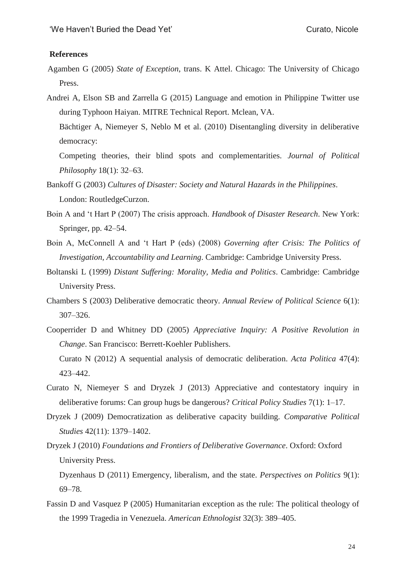#### **References**

- Agamben G (2005) *State of Exception*, trans. K Attel. Chicago: The University of Chicago Press.
- Andrei A, Elson SB and Zarrella G (2015) Language and emotion in Philippine Twitter use during Typhoon Haiyan. MITRE Technical Report. Mclean, VA. Bächtiger A, Niemeyer S, Neblo M et al. (2010) Disentangling diversity in deliberative democracy:

Competing theories, their blind spots and complementarities. *Journal of Political Philosophy* 18(1): 32–63.

- Bankoff G (2003) *Cultures of Disaster: Society and Natural Hazards in the Philippines*. London: RoutledgeCurzon.
- Boin A and 't Hart P (2007) The crisis approach. *Handbook of Disaster Research*. New York: Springer, pp. 42–54.
- Boin A, McConnell A and 't Hart P (eds) (2008) *Governing after Crisis: The Politics of Investigation, Accountability and Learning*. Cambridge: Cambridge University Press.
- Boltanski L (1999) *Distant Suffering: Morality, Media and Politics*. Cambridge: Cambridge University Press.
- Chambers S (2003) Deliberative democratic theory. *Annual Review of Political Science* 6(1): 307–326.
- Cooperrider D and Whitney DD (2005) *Appreciative Inquiry: A Positive Revolution in Change*. San Francisco: Berrett-Koehler Publishers.

Curato N (2012) A sequential analysis of democratic deliberation. *Acta Politica* 47(4): 423–442.

- Curato N, Niemeyer S and Dryzek J (2013) Appreciative and contestatory inquiry in deliberative forums: Can group hugs be dangerous? *Critical Policy Studies* 7(1): 1–17.
- Dryzek J (2009) Democratization as deliberative capacity building. *Comparative Political Studies* 42(11): 1379–1402.
- Dryzek J (2010) *Foundations and Frontiers of Deliberative Governance*. Oxford: Oxford University Press.

Dyzenhaus D (2011) Emergency, liberalism, and the state. *Perspectives on Politics* 9(1): 69–78.

Fassin D and Vasquez P (2005) Humanitarian exception as the rule: The political theology of the 1999 Tragedia in Venezuela. *American Ethnologist* 32(3): 389–405.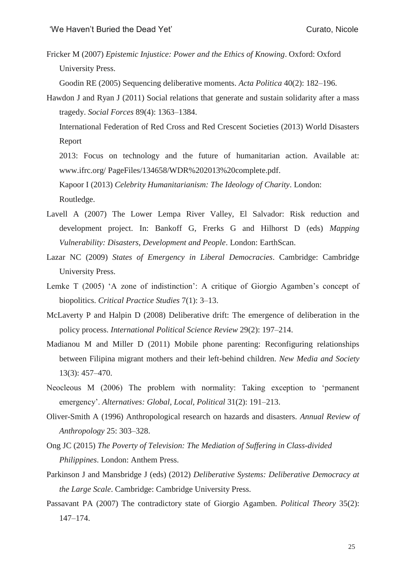Fricker M (2007) *Epistemic Injustice: Power and the Ethics of Knowing*. Oxford: Oxford University Press.

Goodin RE (2005) Sequencing deliberative moments. *Acta Politica* 40(2): 182–196.

Hawdon J and Ryan J (2011) Social relations that generate and sustain solidarity after a mass tragedy. *Social Forces* 89(4): 1363–1384.

International Federation of Red Cross and Red Crescent Societies (2013) World Disasters Report

2013: Focus on technology and the future of humanitarian action. Available at[:](http://www.ifrc.org/PageFiles/134658/WDR%202013%20complete.pdf) [www.ifrc.org/ PageFiles/134658/WDR%202013%20complete.pdf.](http://www.ifrc.org/PageFiles/134658/WDR%202013%20complete.pdf)

Kapoor I (2013) *Celebrity Humanitarianism: The Ideology of Charity*. London: Routledge.

- Lavell A (2007) The Lower Lempa River Valley, El Salvador: Risk reduction and development project. In: Bankoff G, Frerks G and Hilhorst D (eds) *Mapping Vulnerability: Disasters, Development and People*. London: EarthScan.
- Lazar NC (2009) *States of Emergency in Liberal Democracies*. Cambridge: Cambridge University Press.
- Lemke T (2005) 'A zone of indistinction': A critique of Giorgio Agamben's concept of biopolitics. *Critical Practice Studies* 7(1): 3–13.
- McLaverty P and Halpin D (2008) Deliberative drift: The emergence of deliberation in the policy process. *International Political Science Review* 29(2): 197–214.
- Madianou M and Miller D (2011) Mobile phone parenting: Reconfiguring relationships between Filipina migrant mothers and their left-behind children. *New Media and Society* 13(3): 457–470.
- Neocleous M (2006) The problem with normality: Taking exception to 'permanent emergency'. *Alternatives: Global, Local, Political* 31(2): 191–213.
- Oliver-Smith A (1996) Anthropological research on hazards and disasters. *Annual Review of Anthropology* 25: 303–328.
- Ong JC (2015) *The Poverty of Television: The Mediation of Suffering in Class-divided Philippines*. London: Anthem Press.
- Parkinson J and Mansbridge J (eds) (2012) *Deliberative Systems: Deliberative Democracy at the Large Scale*. Cambridge: Cambridge University Press.
- Passavant PA (2007) The contradictory state of Giorgio Agamben. *Political Theory* 35(2): 147–174.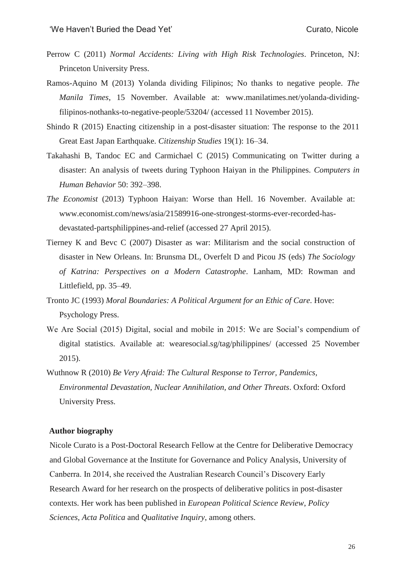- Perrow C (2011) *Normal Accidents: Living with High Risk Technologies*. Princeton, NJ: Princeton University Press.
- Ramos-Aquino M (2013) Yolanda dividing Filipinos; No thanks to negative people. *The Manila Times*, 15 November. Available at: [www.manilatimes.net/yolanda-dividing](http://www.manilatimes.net/yolanda-dividing-filipinos-no-thanks-to-negative-people/53204/)[filipinos-nothanks-to-negative-people/53204/](http://www.manilatimes.net/yolanda-dividing-filipinos-no-thanks-to-negative-people/53204/) (accessed 11 November 2015).
- Shindo R (2015) Enacting citizenship in a post-disaster situation: The response to the 2011 Great East Japan Earthquake. *Citizenship Studies* 19(1): 16–34.
- Takahashi B, Tandoc EC and Carmichael C (2015) Communicating on Twitter during a disaster: An analysis of tweets during Typhoon Haiyan in the Philippines. *Computers in Human Behavior* 50: 392–398.
- *The Economist* (2013) Typhoon Haiyan: Worse than Hell. 16 November. Available at[:](http://www.economist.com/news/asia/21589916-one-strongest-storms-ever-recorded-has-devastated-parts-philippines-and-relief) [www.economist.com/news/asia/21589916-one-strongest-storms-ever-recorded-has](http://www.economist.com/news/asia/21589916-one-strongest-storms-ever-recorded-has-devastated-parts-philippines-and-relief)[devastated-partsphilippines-and-relief](http://www.economist.com/news/asia/21589916-one-strongest-storms-ever-recorded-has-devastated-parts-philippines-and-relief) (accessed 27 April 2015).
- Tierney K and Bevc C (2007) Disaster as war: Militarism and the social construction of disaster in New Orleans. In: Brunsma DL, Overfelt D and Picou JS (eds) *The Sociology of Katrina: Perspectives on a Modern Catastrophe*. Lanham, MD: Rowman and Littlefield, pp. 35–49.
- Tronto JC (1993) *Moral Boundaries: A Political Argument for an Ethic of Care*. Hove: Psychology Press.
- We Are Social (2015) Digital, social and mobile in 2015: We are Social's compendium of digital statistics. Available at: [wearesocial.sg/tag/philippines/](http://wearesocial.sg/tag/philippines/) (accessed 25 November 2015).
- Wuthnow R (2010) *Be Very Afraid: The Cultural Response to Terror, Pandemics, Environmental Devastation, Nuclear Annihilation, and Other Threats*. Oxford: Oxford University Press.

#### **Author biography**

Nicole Curato is a Post-Doctoral Research Fellow at the Centre for Deliberative Democracy and Global Governance at the Institute for Governance and Policy Analysis, University of Canberra. In 2014, she received the Australian Research Council's Discovery Early Research Award for her research on the prospects of deliberative politics in post-disaster contexts. Her work has been published in *European Political Science Review*, *Policy Sciences*, *Acta Politica* and *Qualitative Inquiry*, among others.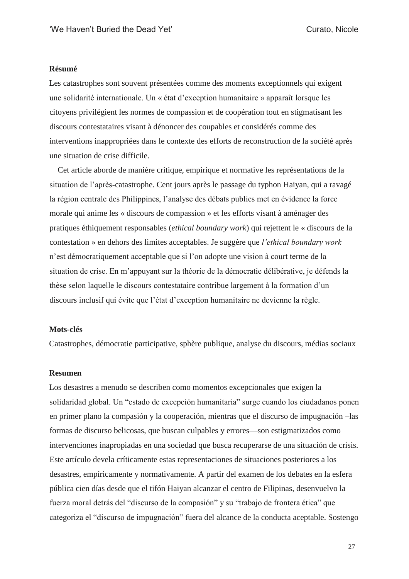#### **Résumé**

Les catastrophes sont souvent présentées comme des moments exceptionnels qui exigent une solidarité internationale. Un « état d'exception humanitaire » apparaît lorsque les citoyens privilégient les normes de compassion et de coopération tout en stigmatisant les discours contestataires visant à dénoncer des coupables et considérés comme des interventions inappropriées dans le contexte des efforts de reconstruction de la société après une situation de crise difficile.

Cet article aborde de manière critique, empirique et normative les représentations de la situation de l'après-catastrophe. Cent jours après le passage du typhon Haiyan, qui a ravagé la région centrale des Philippines, l'analyse des débats publics met en évidence la force morale qui anime les « discours de compassion » et les efforts visant à aménager des pratiques éthiquement responsables (*ethical boundary work*) qui rejettent le « discours de la contestation » en dehors des limites acceptables. Je suggère que *l'ethical boundary work* n'est démocratiquement acceptable que si l'on adopte une vision à court terme de la situation de crise. En m'appuyant sur la théorie de la démocratie délibérative, je défends la thèse selon laquelle le discours contestataire contribue largement à la formation d'un discours inclusif qui évite que l'état d'exception humanitaire ne devienne la règle.

#### **Mots-clés**

Catastrophes, démocratie participative, sphère publique, analyse du discours, médias sociaux

#### **Resumen**

Los desastres a menudo se describen como momentos excepcionales que exigen la solidaridad global. Un "estado de excepción humanitaria" surge cuando los ciudadanos ponen en primer plano la compasión y la cooperación, mientras que el discurso de impugnación –las formas de discurso belicosas, que buscan culpables y errores—son estigmatizados como intervenciones inapropiadas en una sociedad que busca recuperarse de una situación de crisis. Este artículo devela críticamente estas representaciones de situaciones posteriores a los desastres, empíricamente y normativamente. A partir del examen de los debates en la esfera pública cien días desde que el tifón Haiyan alcanzar el centro de Filipinas, desenvuelvo la fuerza moral detrás del "discurso de la compasión" y su "trabajo de frontera ética" que categoriza el "discurso de impugnación" fuera del alcance de la conducta aceptable. Sostengo